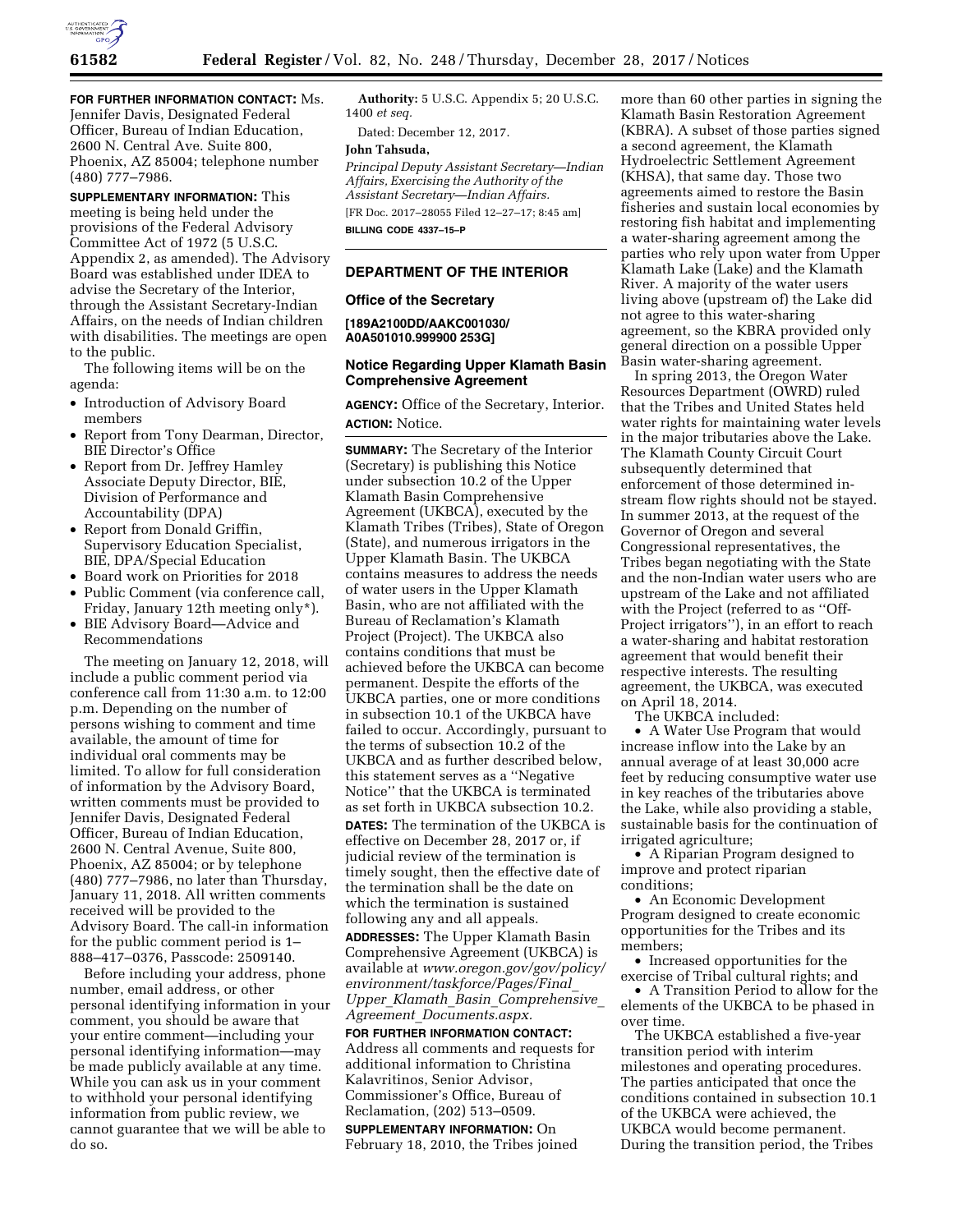

**FOR FURTHER INFORMATION CONTACT:** Ms. Jennifer Davis, Designated Federal Officer, Bureau of Indian Education, 2600 N. Central Ave. Suite 800, Phoenix, AZ 85004; telephone number (480) 777–7986.

**SUPPLEMENTARY INFORMATION:** This meeting is being held under the provisions of the Federal Advisory Committee Act of 1972 (5 U.S.C. Appendix 2, as amended). The Advisory Board was established under IDEA to advise the Secretary of the Interior, through the Assistant Secretary-Indian Affairs, on the needs of Indian children with disabilities. The meetings are open to the public.

The following items will be on the agenda:

- Introduction of Advisory Board members
- Report from Tony Dearman, Director, BIE Director's Office
- Report from Dr. Jeffrey Hamley Associate Deputy Director, BIE, Division of Performance and Accountability (DPA)
- Report from Donald Griffin, Supervisory Education Specialist, BIE, DPA/Special Education
- Board work on Priorities for 2018
- Public Comment (via conference call, Friday, January 12th meeting only\*).
- BIE Advisory Board—Advice and Recommendations

The meeting on January 12, 2018, will include a public comment period via conference call from 11:30 a.m. to 12:00 p.m. Depending on the number of persons wishing to comment and time available, the amount of time for individual oral comments may be limited. To allow for full consideration of information by the Advisory Board, written comments must be provided to Jennifer Davis, Designated Federal Officer, Bureau of Indian Education, 2600 N. Central Avenue, Suite 800, Phoenix, AZ 85004; or by telephone (480) 777–7986, no later than Thursday, January 11, 2018. All written comments received will be provided to the Advisory Board. The call-in information for the public comment period is 1– 888–417–0376, Passcode: 2509140.

Before including your address, phone number, email address, or other personal identifying information in your comment, you should be aware that your entire comment—including your personal identifying information—may be made publicly available at any time. While you can ask us in your comment to withhold your personal identifying information from public review, we cannot guarantee that we will be able to do so.

**Authority:** 5 U.S.C. Appendix 5; 20 U.S.C. 1400 *et seq.* 

Dated: December 12, 2017.

### **John Tahsuda,**

*Principal Deputy Assistant Secretary—Indian Affairs, Exercising the Authority of the Assistant Secretary—Indian Affairs.*  [FR Doc. 2017–28055 Filed 12–27–17; 8:45 am]

**BILLING CODE 4337–15–P** 

### **DEPARTMENT OF THE INTERIOR**

#### **Office of the Secretary**

**[189A2100DD/AAKC001030/ A0A501010.999900 253G]** 

### **Notice Regarding Upper Klamath Basin Comprehensive Agreement**

**AGENCY:** Office of the Secretary, Interior. **ACTION:** Notice.

**SUMMARY:** The Secretary of the Interior (Secretary) is publishing this Notice under subsection 10.2 of the Upper Klamath Basin Comprehensive Agreement (UKBCA), executed by the Klamath Tribes (Tribes), State of Oregon (State), and numerous irrigators in the Upper Klamath Basin. The UKBCA contains measures to address the needs of water users in the Upper Klamath Basin, who are not affiliated with the Bureau of Reclamation's Klamath Project (Project). The UKBCA also contains conditions that must be achieved before the UKBCA can become permanent. Despite the efforts of the UKBCA parties, one or more conditions in subsection 10.1 of the UKBCA have failed to occur. Accordingly, pursuant to the terms of subsection 10.2 of the UKBCA and as further described below, this statement serves as a ''Negative Notice'' that the UKBCA is terminated as set forth in UKBCA subsection 10.2.

**DATES:** The termination of the UKBCA is effective on December 28, 2017 or, if judicial review of the termination is timely sought, then the effective date of the termination shall be the date on which the termination is sustained following any and all appeals.

**ADDRESSES:** The Upper Klamath Basin Comprehensive Agreement (UKBCA) is available at *[www.oregon.gov/gov/policy/](http://www.oregon.gov/gov/policy/environment/taskforce/Pages/Final_Upper_Klamath_Basin_Comprehensive_Agreement_Documents.aspx) [environment/taskforce/Pages/Final](http://www.oregon.gov/gov/policy/environment/taskforce/Pages/Final_Upper_Klamath_Basin_Comprehensive_Agreement_Documents.aspx)*\_ *Upper*\_*Klamath*\_*Basin*\_*[Comprehensive](http://www.oregon.gov/gov/policy/environment/taskforce/Pages/Final_Upper_Klamath_Basin_Comprehensive_Agreement_Documents.aspx)*\_ *Agreement*\_*[Documents.aspx.](http://www.oregon.gov/gov/policy/environment/taskforce/Pages/Final_Upper_Klamath_Basin_Comprehensive_Agreement_Documents.aspx)* 

**FOR FURTHER INFORMATION CONTACT:**  Address all comments and requests for additional information to Christina Kalavritinos, Senior Advisor, Commissioner's Office, Bureau of Reclamation, (202) 513–0509.

**SUPPLEMENTARY INFORMATION:** On February 18, 2010, the Tribes joined more than 60 other parties in signing the Klamath Basin Restoration Agreement (KBRA). A subset of those parties signed a second agreement, the Klamath Hydroelectric Settlement Agreement (KHSA), that same day. Those two agreements aimed to restore the Basin fisheries and sustain local economies by restoring fish habitat and implementing a water-sharing agreement among the parties who rely upon water from Upper Klamath Lake (Lake) and the Klamath River. A majority of the water users living above (upstream of) the Lake did not agree to this water-sharing agreement, so the KBRA provided only general direction on a possible Upper Basin water-sharing agreement.

In spring 2013, the Oregon Water Resources Department (OWRD) ruled that the Tribes and United States held water rights for maintaining water levels in the major tributaries above the Lake. The Klamath County Circuit Court subsequently determined that enforcement of those determined instream flow rights should not be stayed. In summer 2013, at the request of the Governor of Oregon and several Congressional representatives, the Tribes began negotiating with the State and the non-Indian water users who are upstream of the Lake and not affiliated with the Project (referred to as ''Off-Project irrigators''), in an effort to reach a water-sharing and habitat restoration agreement that would benefit their respective interests. The resulting agreement, the UKBCA, was executed on April 18, 2014.

The UKBCA included:

• A Water Use Program that would increase inflow into the Lake by an annual average of at least 30,000 acre feet by reducing consumptive water use in key reaches of the tributaries above the Lake, while also providing a stable, sustainable basis for the continuation of irrigated agriculture;

• A Riparian Program designed to improve and protect riparian conditions;

• An Economic Development Program designed to create economic opportunities for the Tribes and its members;

• Increased opportunities for the exercise of Tribal cultural rights; and

• A Transition Period to allow for the elements of the UKBCA to be phased in over time.

The UKBCA established a five-year transition period with interim milestones and operating procedures. The parties anticipated that once the conditions contained in subsection 10.1 of the UKBCA were achieved, the UKBCA would become permanent. During the transition period, the Tribes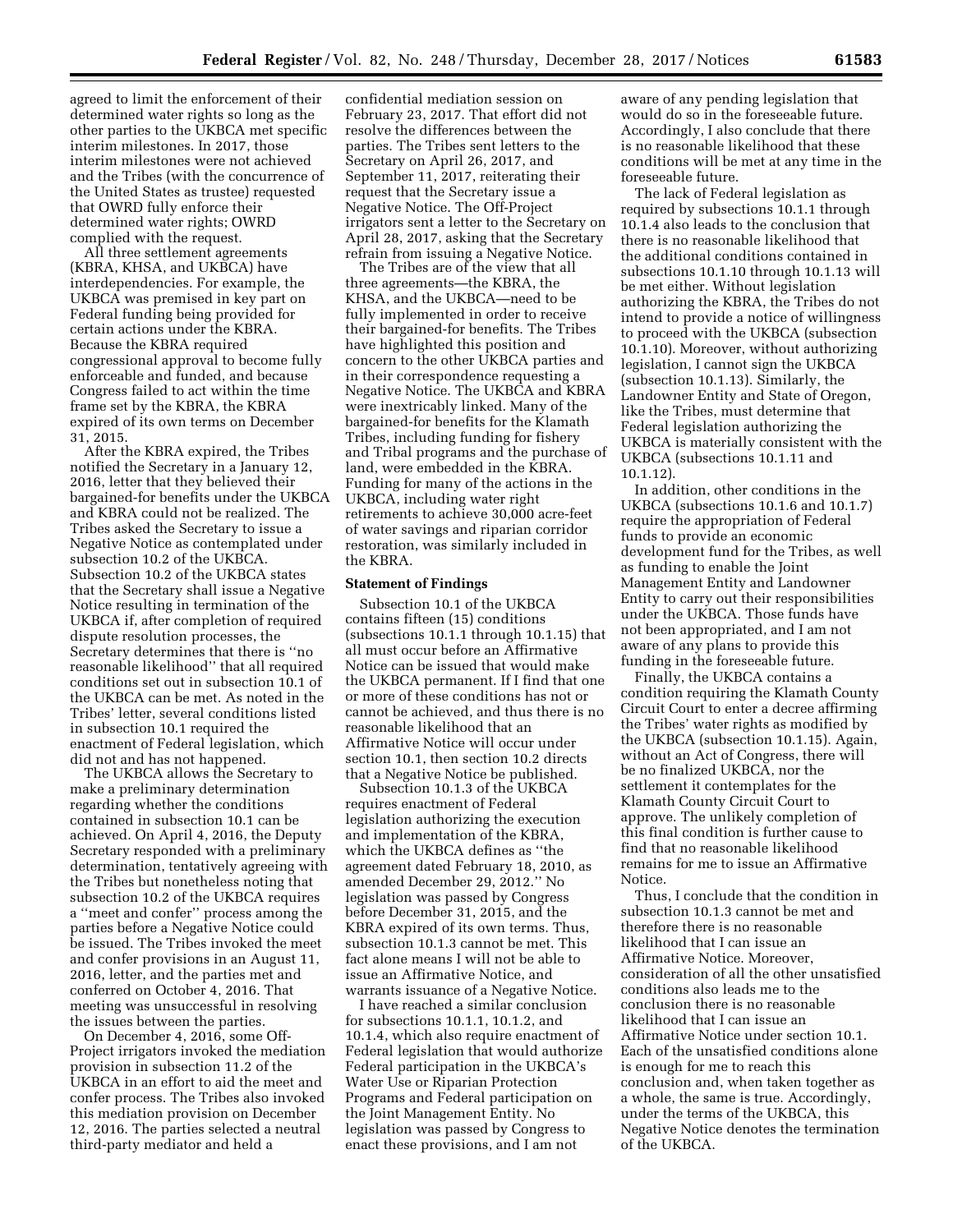agreed to limit the enforcement of their determined water rights so long as the other parties to the UKBCA met specific interim milestones. In 2017, those interim milestones were not achieved and the Tribes (with the concurrence of the United States as trustee) requested that OWRD fully enforce their determined water rights; OWRD complied with the request.

All three settlement agreements (KBRA, KHSA, and UKBCA) have interdependencies. For example, the UKBCA was premised in key part on Federal funding being provided for certain actions under the KBRA. Because the KBRA required congressional approval to become fully enforceable and funded, and because Congress failed to act within the time frame set by the KBRA, the KBRA expired of its own terms on December 31, 2015.

After the KBRA expired, the Tribes notified the Secretary in a January 12, 2016, letter that they believed their bargained-for benefits under the UKBCA and KBRA could not be realized. The Tribes asked the Secretary to issue a Negative Notice as contemplated under subsection 10.2 of the UKBCA. Subsection 10.2 of the UKBCA states that the Secretary shall issue a Negative Notice resulting in termination of the UKBCA if, after completion of required dispute resolution processes, the Secretary determines that there is ''no reasonable likelihood'' that all required conditions set out in subsection 10.1 of the UKBCA can be met. As noted in the Tribes' letter, several conditions listed in subsection 10.1 required the enactment of Federal legislation, which did not and has not happened.

The UKBCA allows the Secretary to make a preliminary determination regarding whether the conditions contained in subsection 10.1 can be achieved. On April 4, 2016, the Deputy Secretary responded with a preliminary determination, tentatively agreeing with the Tribes but nonetheless noting that subsection 10.2 of the UKBCA requires a ''meet and confer'' process among the parties before a Negative Notice could be issued. The Tribes invoked the meet and confer provisions in an August 11, 2016, letter, and the parties met and conferred on October 4, 2016. That meeting was unsuccessful in resolving the issues between the parties.

On December 4, 2016, some Off-Project irrigators invoked the mediation provision in subsection 11.2 of the UKBCA in an effort to aid the meet and confer process. The Tribes also invoked this mediation provision on December 12, 2016. The parties selected a neutral third-party mediator and held a

confidential mediation session on February 23, 2017. That effort did not resolve the differences between the parties. The Tribes sent letters to the Secretary on April 26, 2017, and September 11, 2017, reiterating their request that the Secretary issue a Negative Notice. The Off-Project irrigators sent a letter to the Secretary on April 28, 2017, asking that the Secretary refrain from issuing a Negative Notice.

The Tribes are of the view that all three agreements—the KBRA, the KHSA, and the UKBCA—need to be fully implemented in order to receive their bargained-for benefits. The Tribes have highlighted this position and concern to the other UKBCA parties and in their correspondence requesting a Negative Notice. The UKBCA and KBRA were inextricably linked. Many of the bargained-for benefits for the Klamath Tribes, including funding for fishery and Tribal programs and the purchase of land, were embedded in the KBRA. Funding for many of the actions in the UKBCA, including water right retirements to achieve 30,000 acre-feet of water savings and riparian corridor restoration, was similarly included in the KBRA.

#### **Statement of Findings**

Subsection 10.1 of the UKBCA contains fifteen (15) conditions (subsections 10.1.1 through 10.1.15) that all must occur before an Affirmative Notice can be issued that would make the UKBCA permanent. If I find that one or more of these conditions has not or cannot be achieved, and thus there is no reasonable likelihood that an Affirmative Notice will occur under section 10.1, then section 10.2 directs that a Negative Notice be published.

Subsection 10.1.3 of the UKBCA requires enactment of Federal legislation authorizing the execution and implementation of the KBRA, which the UKBCA defines as ''the agreement dated February 18, 2010, as amended December 29, 2012.'' No legislation was passed by Congress before December 31, 2015, and the KBRA expired of its own terms. Thus, subsection 10.1.3 cannot be met. This fact alone means I will not be able to issue an Affirmative Notice, and warrants issuance of a Negative Notice.

I have reached a similar conclusion for subsections 10.1.1, 10.1.2, and 10.1.4, which also require enactment of Federal legislation that would authorize Federal participation in the UKBCA's Water Use or Riparian Protection Programs and Federal participation on the Joint Management Entity. No legislation was passed by Congress to enact these provisions, and I am not

aware of any pending legislation that would do so in the foreseeable future. Accordingly, I also conclude that there is no reasonable likelihood that these conditions will be met at any time in the foreseeable future.

The lack of Federal legislation as required by subsections 10.1.1 through 10.1.4 also leads to the conclusion that there is no reasonable likelihood that the additional conditions contained in subsections 10.1.10 through 10.1.13 will be met either. Without legislation authorizing the KBRA, the Tribes do not intend to provide a notice of willingness to proceed with the UKBCA (subsection 10.1.10). Moreover, without authorizing legislation, I cannot sign the UKBCA (subsection 10.1.13). Similarly, the Landowner Entity and State of Oregon, like the Tribes, must determine that Federal legislation authorizing the UKBCA is materially consistent with the UKBCA (subsections 10.1.11 and 10.1.12).

In addition, other conditions in the UKBCA (subsections 10.1.6 and 10.1.7) require the appropriation of Federal funds to provide an economic development fund for the Tribes, as well as funding to enable the Joint Management Entity and Landowner Entity to carry out their responsibilities under the UKBCA. Those funds have not been appropriated, and I am not aware of any plans to provide this funding in the foreseeable future.

Finally, the UKBCA contains a condition requiring the Klamath County Circuit Court to enter a decree affirming the Tribes' water rights as modified by the UKBCA (subsection 10.1.15). Again, without an Act of Congress, there will be no finalized UKBCA, nor the settlement it contemplates for the Klamath County Circuit Court to approve. The unlikely completion of this final condition is further cause to find that no reasonable likelihood remains for me to issue an Affirmative Notice.

Thus, I conclude that the condition in subsection 10.1.3 cannot be met and therefore there is no reasonable likelihood that I can issue an Affirmative Notice. Moreover, consideration of all the other unsatisfied conditions also leads me to the conclusion there is no reasonable likelihood that I can issue an Affirmative Notice under section 10.1. Each of the unsatisfied conditions alone is enough for me to reach this conclusion and, when taken together as a whole, the same is true. Accordingly, under the terms of the UKBCA, this Negative Notice denotes the termination of the UKBCA.